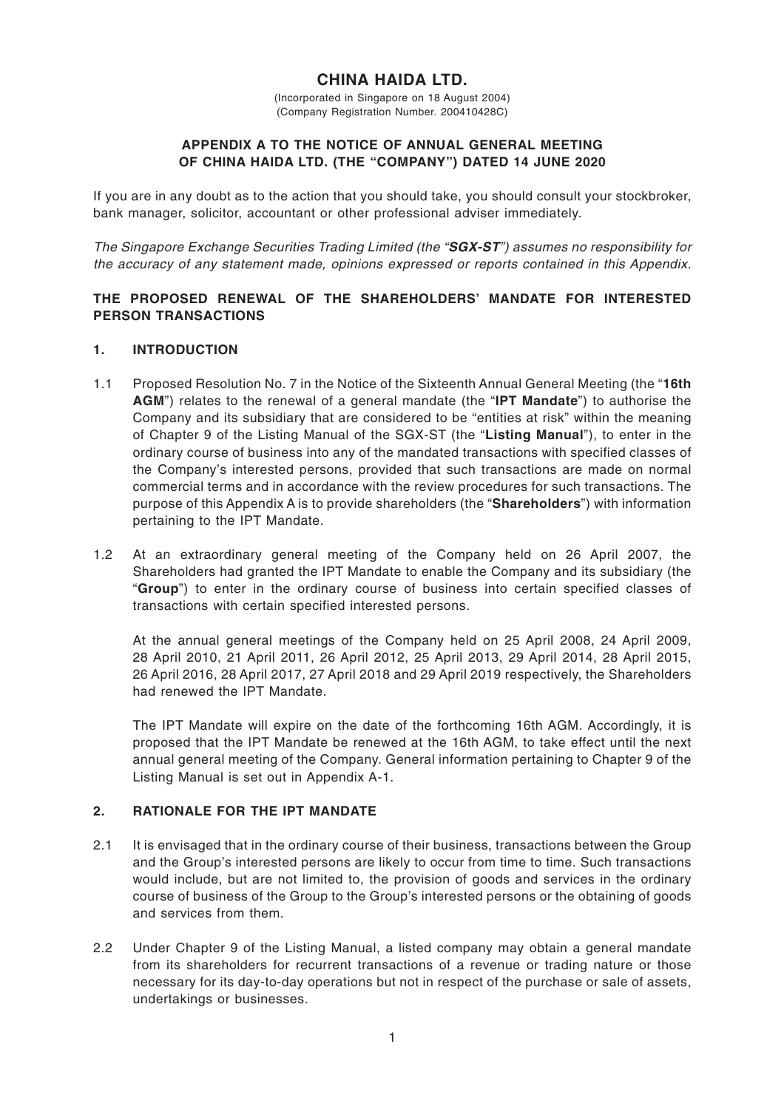# **CHINA HAIDA LTD.**

(Incorporated in Singapore on 18 August 2004) (Company Registration Number. 200410428C)

#### **APPENDIX A TO THE NOTICE OF ANNUAL GENERAL MEETING OF CHINA HAIDA LTD. (THE "COMPANY") DATED 14 JUNE 2020**

If you are in any doubt as to the action that you should take, you should consult your stockbroker, bank manager, solicitor, accountant or other professional adviser immediately.

The Singapore Exchange Securities Trading Limited (the "**SGX-ST**") assumes no responsibility for the accuracy of any statement made, opinions expressed or reports contained in this Appendix.

## **THE PROPOSED RENEWAL OF THE SHAREHOLDERS' MANDATE FOR INTERESTED PERSON TRANSACTIONS**

#### **1. INTRODUCTION**

- 1.1 Proposed Resolution No. 7 in the Notice of the Sixteenth Annual General Meeting (the "**16th AGM**") relates to the renewal of a general mandate (the "**IPT Mandate**") to authorise the Company and its subsidiary that are considered to be "entities at risk" within the meaning of Chapter 9 of the Listing Manual of the SGX-ST (the "**Listing Manual**"), to enter in the ordinary course of business into any of the mandated transactions with specified classes of the Company's interested persons, provided that such transactions are made on normal commercial terms and in accordance with the review procedures for such transactions. The purpose of this Appendix A is to provide shareholders (the "**Shareholders**") with information pertaining to the IPT Mandate.
- 1.2 At an extraordinary general meeting of the Company held on 26 April 2007, the Shareholders had granted the IPT Mandate to enable the Company and its subsidiary (the "**Group**") to enter in the ordinary course of business into certain specified classes of transactions with certain specified interested persons.

At the annual general meetings of the Company held on 25 April 2008, 24 April 2009, 28 April 2010, 21 April 2011, 26 April 2012, 25 April 2013, 29 April 2014, 28 April 2015, 26 April 2016, 28 April 2017, 27 April 2018 and 29 April 2019 respectively, the Shareholders had renewed the IPT Mandate.

The IPT Mandate will expire on the date of the forthcoming 16th AGM. Accordingly, it is proposed that the IPT Mandate be renewed at the 16th AGM, to take effect until the next annual general meeting of the Company. General information pertaining to Chapter 9 of the Listing Manual is set out in Appendix A-1.

## **2. RATIONALE FOR THE IPT MANDATE**

- 2.1 It is envisaged that in the ordinary course of their business, transactions between the Group and the Group's interested persons are likely to occur from time to time. Such transactions would include, but are not limited to, the provision of goods and services in the ordinary course of business of the Group to the Group's interested persons or the obtaining of goods and services from them.
- 2.2 Under Chapter 9 of the Listing Manual, a listed company may obtain a general mandate from its shareholders for recurrent transactions of a revenue or trading nature or those necessary for its day-to-day operations but not in respect of the purchase or sale of assets, undertakings or businesses.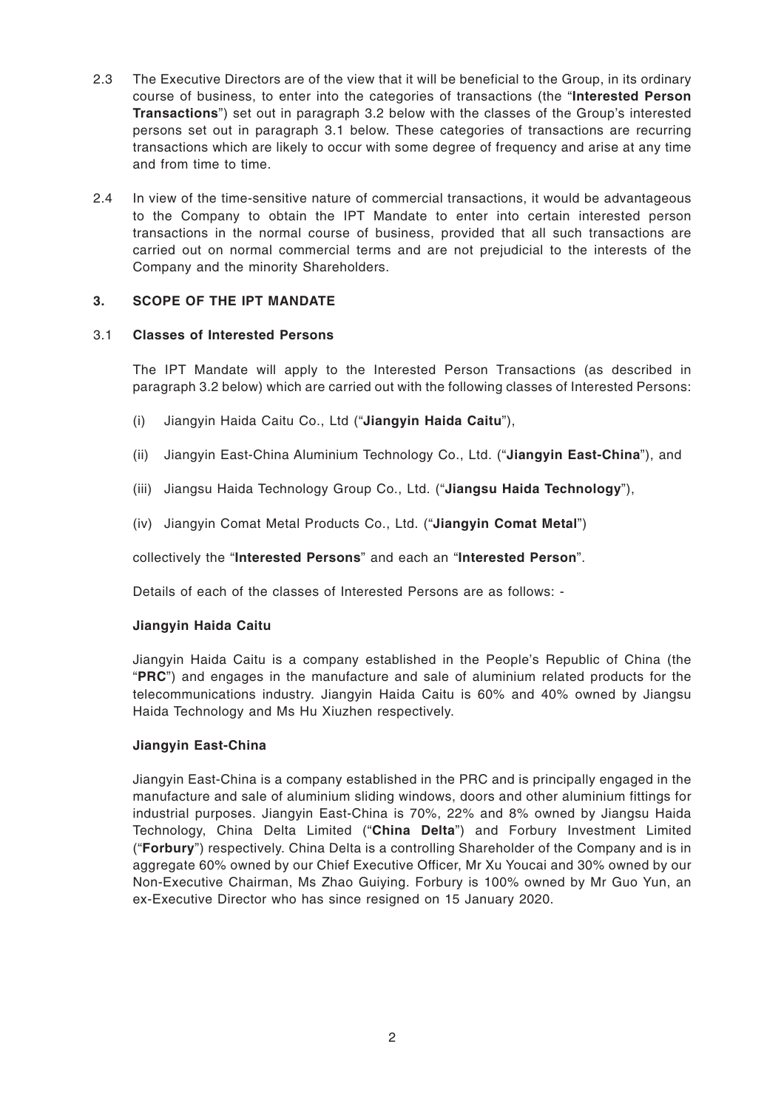- 2.3 The Executive Directors are of the view that it will be beneficial to the Group, in its ordinary course of business, to enter into the categories of transactions (the "**Interested Person Transactions**") set out in paragraph 3.2 below with the classes of the Group's interested persons set out in paragraph 3.1 below. These categories of transactions are recurring transactions which are likely to occur with some degree of frequency and arise at any time and from time to time.
- 2.4 In view of the time-sensitive nature of commercial transactions, it would be advantageous to the Company to obtain the IPT Mandate to enter into certain interested person transactions in the normal course of business, provided that all such transactions are carried out on normal commercial terms and are not prejudicial to the interests of the Company and the minority Shareholders.

## **3. SCOPE OF THE IPT MANDATE**

## 3.1 **Classes of Interested Persons**

The IPT Mandate will apply to the Interested Person Transactions (as described in paragraph 3.2 below) which are carried out with the following classes of Interested Persons:

- (i) Jiangyin Haida Caitu Co., Ltd ("**Jiangyin Haida Caitu**"),
- (ii) Jiangyin East-China Aluminium Technology Co., Ltd. ("**Jiangyin East-China**"), and
- (iii) Jiangsu Haida Technology Group Co., Ltd. ("**Jiangsu Haida Technology**"),
- (iv) Jiangyin Comat Metal Products Co., Ltd. ("**Jiangyin Comat Metal**")

collectively the "**Interested Persons**" and each an "**Interested Person**".

Details of each of the classes of Interested Persons are as follows: -

## **Jiangyin Haida Caitu**

Jiangyin Haida Caitu is a company established in the People's Republic of China (the "**PRC**") and engages in the manufacture and sale of aluminium related products for the telecommunications industry. Jiangyin Haida Caitu is 60% and 40% owned by Jiangsu Haida Technology and Ms Hu Xiuzhen respectively.

## **Jiangyin East-China**

Jiangyin East-China is a company established in the PRC and is principally engaged in the manufacture and sale of aluminium sliding windows, doors and other aluminium fittings for industrial purposes. Jiangyin East-China is 70%, 22% and 8% owned by Jiangsu Haida Technology, China Delta Limited ("**China Delta**") and Forbury Investment Limited ("**Forbury**") respectively. China Delta is a controlling Shareholder of the Company and is in aggregate 60% owned by our Chief Executive Officer, Mr Xu Youcai and 30% owned by our Non-Executive Chairman, Ms Zhao Guiying. Forbury is 100% owned by Mr Guo Yun, an ex-Executive Director who has since resigned on 15 January 2020.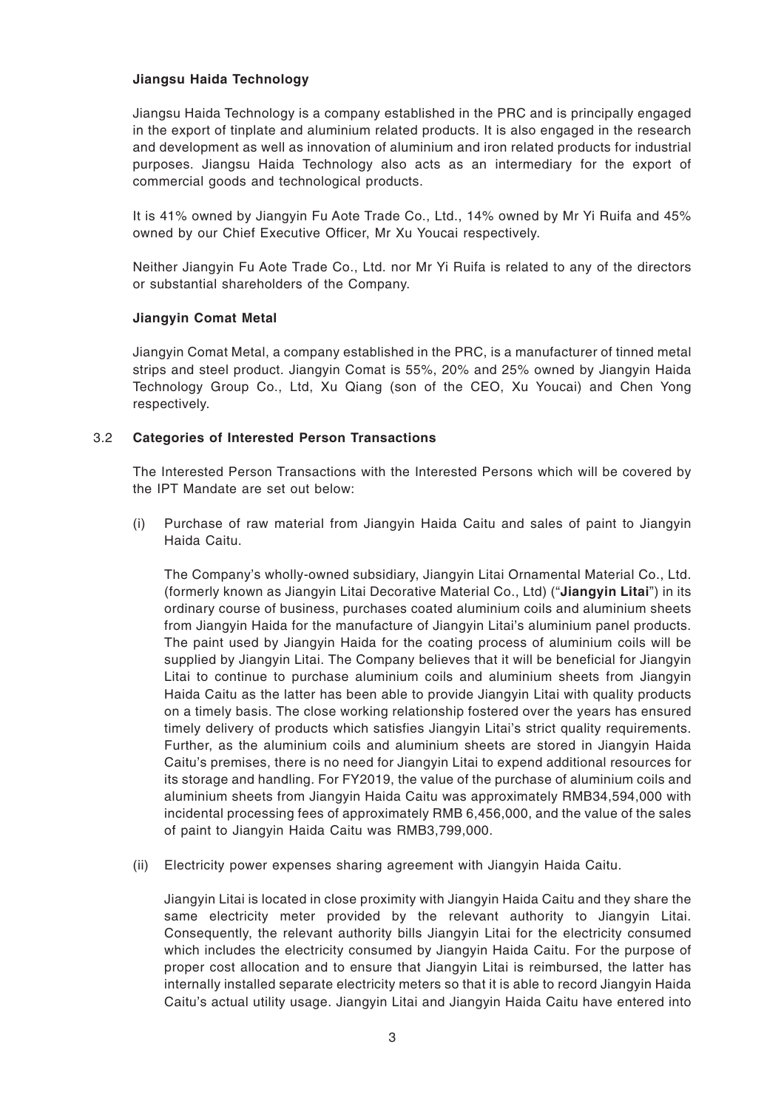## **Jiangsu Haida Technology**

Jiangsu Haida Technology is a company established in the PRC and is principally engaged in the export of tinplate and aluminium related products. It is also engaged in the research and development as well as innovation of aluminium and iron related products for industrial purposes. Jiangsu Haida Technology also acts as an intermediary for the export of commercial goods and technological products.

It is 41% owned by Jiangyin Fu Aote Trade Co., Ltd., 14% owned by Mr Yi Ruifa and 45% owned by our Chief Executive Officer, Mr Xu Youcai respectively.

Neither Jiangyin Fu Aote Trade Co., Ltd. nor Mr Yi Ruifa is related to any of the directors or substantial shareholders of the Company.

## **Jiangyin Comat Metal**

Jiangyin Comat Metal, a company established in the PRC, is a manufacturer of tinned metal strips and steel product. Jiangyin Comat is 55%, 20% and 25% owned by Jiangyin Haida Technology Group Co., Ltd, Xu Qiang (son of the CEO, Xu Youcai) and Chen Yong respectively.

## 3.2 **Categories of Interested Person Transactions**

The Interested Person Transactions with the Interested Persons which will be covered by the IPT Mandate are set out below:

(i) Purchase of raw material from Jiangyin Haida Caitu and sales of paint to Jiangyin Haida Caitu.

The Company's wholly-owned subsidiary, Jiangyin Litai Ornamental Material Co., Ltd. (formerly known as Jiangyin Litai Decorative Material Co., Ltd) ("**Jiangyin Litai**") in its ordinary course of business, purchases coated aluminium coils and aluminium sheets from Jiangyin Haida for the manufacture of Jiangyin Litai's aluminium panel products. The paint used by Jiangyin Haida for the coating process of aluminium coils will be supplied by Jiangyin Litai. The Company believes that it will be beneficial for Jiangyin Litai to continue to purchase aluminium coils and aluminium sheets from Jiangyin Haida Caitu as the latter has been able to provide Jiangyin Litai with quality products on a timely basis. The close working relationship fostered over the years has ensured timely delivery of products which satisfies Jiangyin Litai's strict quality requirements. Further, as the aluminium coils and aluminium sheets are stored in Jiangyin Haida Caitu's premises, there is no need for Jiangyin Litai to expend additional resources for its storage and handling. For FY2019, the value of the purchase of aluminium coils and aluminium sheets from Jiangyin Haida Caitu was approximately RMB34,594,000 with incidental processing fees of approximately RMB 6,456,000, and the value of the sales of paint to Jiangyin Haida Caitu was RMB3,799,000.

(ii) Electricity power expenses sharing agreement with Jiangyin Haida Caitu.

Jiangyin Litai is located in close proximity with Jiangyin Haida Caitu and they share the same electricity meter provided by the relevant authority to Jiangyin Litai. Consequently, the relevant authority bills Jiangyin Litai for the electricity consumed which includes the electricity consumed by Jiangyin Haida Caitu. For the purpose of proper cost allocation and to ensure that Jiangyin Litai is reimbursed, the latter has internally installed separate electricity meters so that it is able to record Jiangyin Haida Caitu's actual utility usage. Jiangyin Litai and Jiangyin Haida Caitu have entered into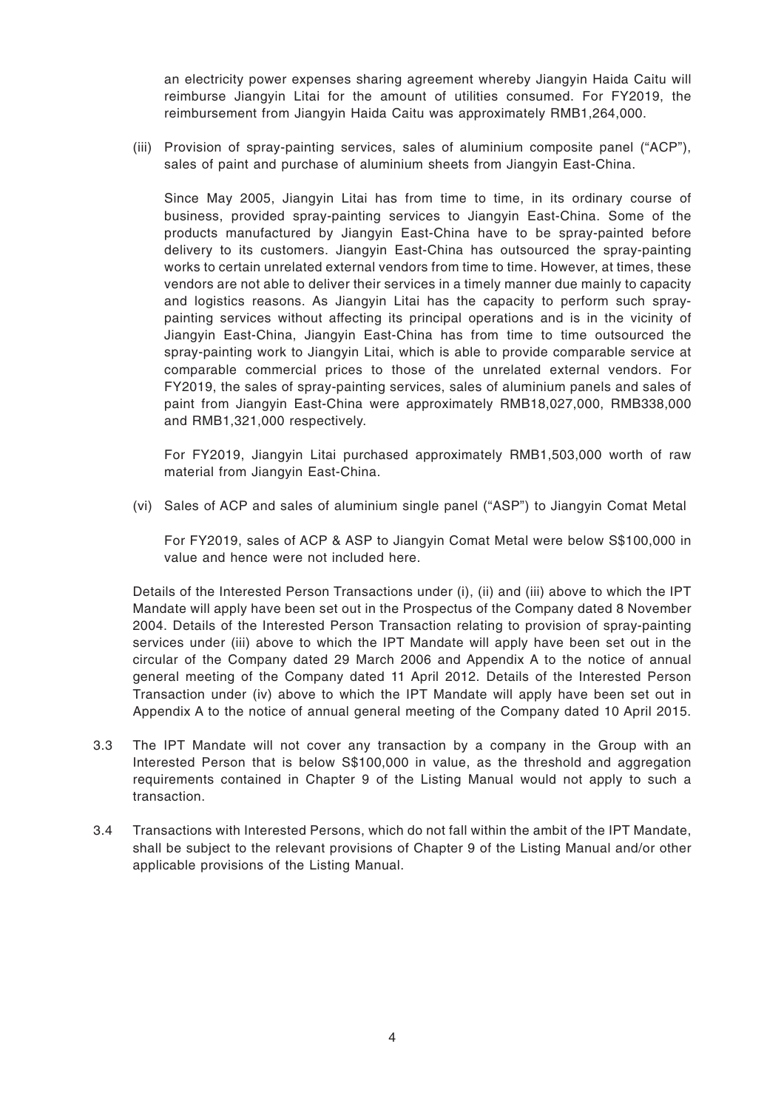an electricity power expenses sharing agreement whereby Jiangyin Haida Caitu will reimburse Jiangyin Litai for the amount of utilities consumed. For FY2019, the reimbursement from Jiangyin Haida Caitu was approximately RMB1,264,000.

(iii) Provision of spray-painting services, sales of aluminium composite panel ("ACP"), sales of paint and purchase of aluminium sheets from Jiangyin East-China.

Since May 2005, Jiangyin Litai has from time to time, in its ordinary course of business, provided spray-painting services to Jiangyin East-China. Some of the products manufactured by Jiangyin East-China have to be spray-painted before delivery to its customers. Jiangyin East-China has outsourced the spray-painting works to certain unrelated external vendors from time to time. However, at times, these vendors are not able to deliver their services in a timely manner due mainly to capacity and logistics reasons. As Jiangyin Litai has the capacity to perform such spraypainting services without affecting its principal operations and is in the vicinity of Jiangyin East-China, Jiangyin East-China has from time to time outsourced the spray-painting work to Jiangyin Litai, which is able to provide comparable service at comparable commercial prices to those of the unrelated external vendors. For FY2019, the sales of spray-painting services, sales of aluminium panels and sales of paint from Jiangyin East-China were approximately RMB18,027,000, RMB338,000 and RMB1,321,000 respectively.

For FY2019, Jiangyin Litai purchased approximately RMB1,503,000 worth of raw material from Jiangyin East-China.

(vi) Sales of ACP and sales of aluminium single panel ("ASP") to Jiangyin Comat Metal

For FY2019, sales of ACP & ASP to Jiangyin Comat Metal were below S\$100,000 in value and hence were not included here.

Details of the Interested Person Transactions under (i), (ii) and (iii) above to which the IPT Mandate will apply have been set out in the Prospectus of the Company dated 8 November 2004. Details of the Interested Person Transaction relating to provision of spray-painting services under (iii) above to which the IPT Mandate will apply have been set out in the circular of the Company dated 29 March 2006 and Appendix A to the notice of annual general meeting of the Company dated 11 April 2012. Details of the Interested Person Transaction under (iv) above to which the IPT Mandate will apply have been set out in Appendix A to the notice of annual general meeting of the Company dated 10 April 2015.

- 3.3 The IPT Mandate will not cover any transaction by a company in the Group with an Interested Person that is below S\$100,000 in value, as the threshold and aggregation requirements contained in Chapter 9 of the Listing Manual would not apply to such a transaction.
- 3.4 Transactions with Interested Persons, which do not fall within the ambit of the IPT Mandate, shall be subject to the relevant provisions of Chapter 9 of the Listing Manual and/or other applicable provisions of the Listing Manual.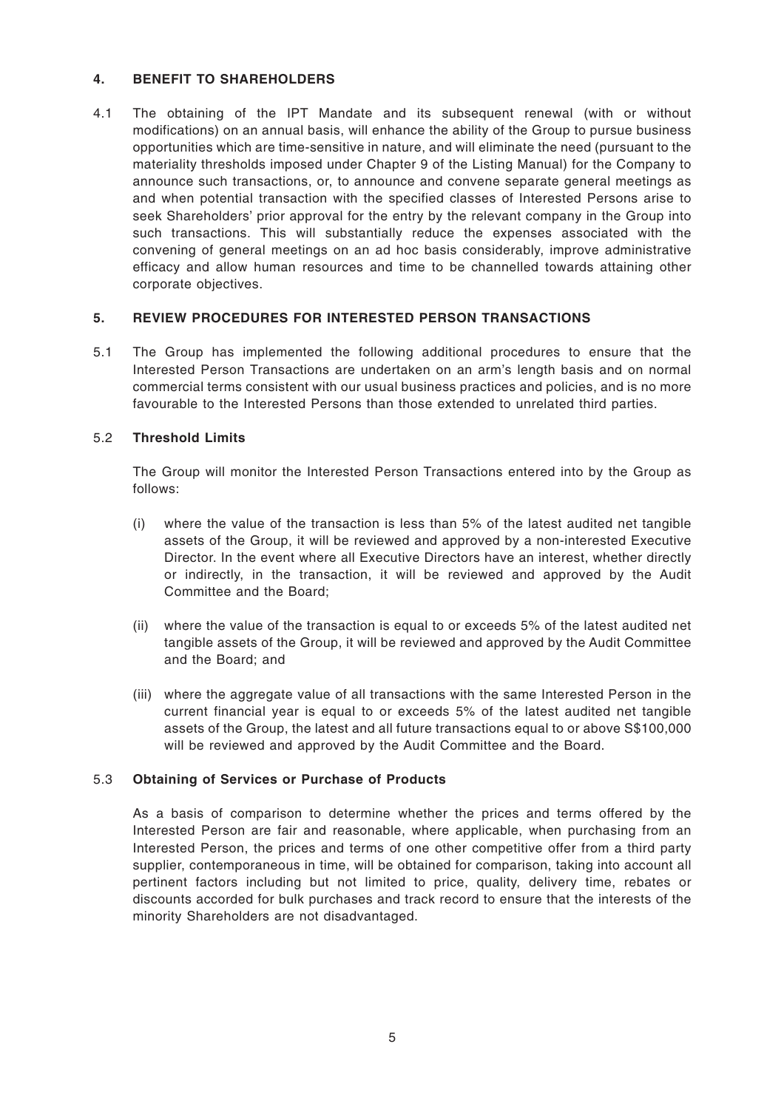## **4. BENEFIT TO SHAREHOLDERS**

4.1 The obtaining of the IPT Mandate and its subsequent renewal (with or without modifications) on an annual basis, will enhance the ability of the Group to pursue business opportunities which are time-sensitive in nature, and will eliminate the need (pursuant to the materiality thresholds imposed under Chapter 9 of the Listing Manual) for the Company to announce such transactions, or, to announce and convene separate general meetings as and when potential transaction with the specified classes of Interested Persons arise to seek Shareholders' prior approval for the entry by the relevant company in the Group into such transactions. This will substantially reduce the expenses associated with the convening of general meetings on an ad hoc basis considerably, improve administrative efficacy and allow human resources and time to be channelled towards attaining other corporate objectives.

## **5. REVIEW PROCEDURES FOR INTERESTED PERSON TRANSACTIONS**

5.1 The Group has implemented the following additional procedures to ensure that the Interested Person Transactions are undertaken on an arm's length basis and on normal commercial terms consistent with our usual business practices and policies, and is no more favourable to the Interested Persons than those extended to unrelated third parties.

## 5.2 **Threshold Limits**

The Group will monitor the Interested Person Transactions entered into by the Group as follows:

- (i) where the value of the transaction is less than 5% of the latest audited net tangible assets of the Group, it will be reviewed and approved by a non-interested Executive Director. In the event where all Executive Directors have an interest, whether directly or indirectly, in the transaction, it will be reviewed and approved by the Audit Committee and the Board;
- (ii) where the value of the transaction is equal to or exceeds 5% of the latest audited net tangible assets of the Group, it will be reviewed and approved by the Audit Committee and the Board; and
- (iii) where the aggregate value of all transactions with the same Interested Person in the current financial year is equal to or exceeds 5% of the latest audited net tangible assets of the Group, the latest and all future transactions equal to or above S\$100,000 will be reviewed and approved by the Audit Committee and the Board.

## 5.3 **Obtaining of Services or Purchase of Products**

As a basis of comparison to determine whether the prices and terms offered by the Interested Person are fair and reasonable, where applicable, when purchasing from an Interested Person, the prices and terms of one other competitive offer from a third party supplier, contemporaneous in time, will be obtained for comparison, taking into account all pertinent factors including but not limited to price, quality, delivery time, rebates or discounts accorded for bulk purchases and track record to ensure that the interests of the minority Shareholders are not disadvantaged.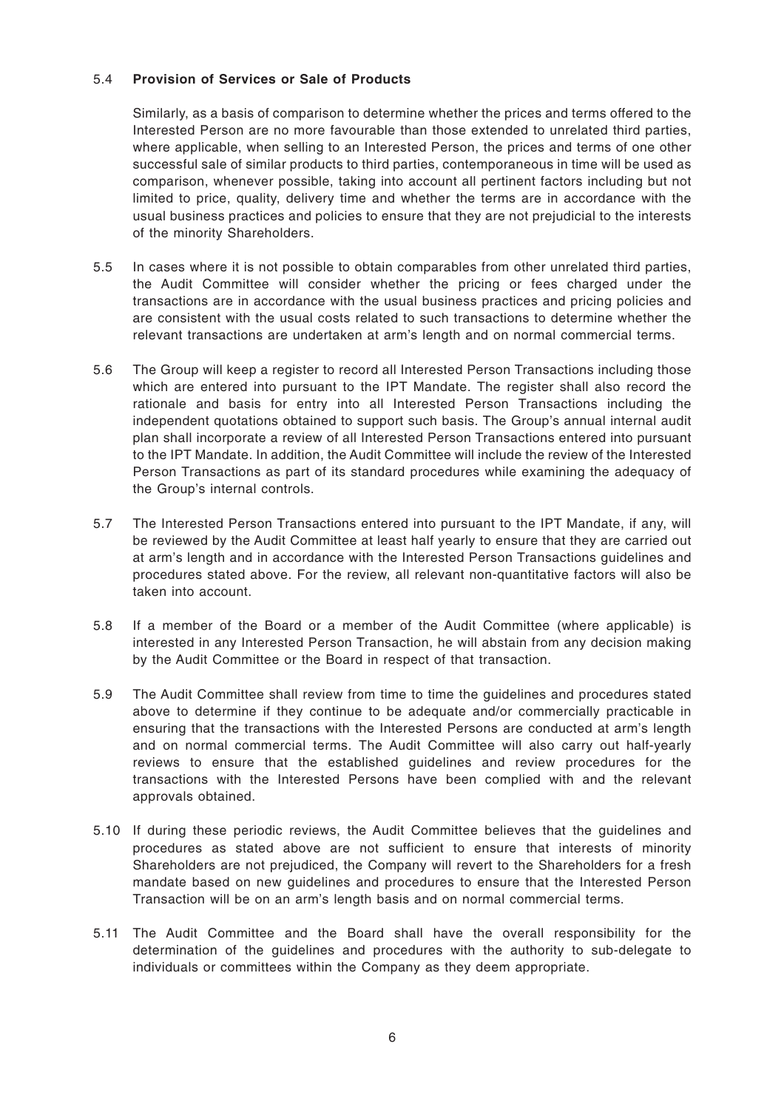## 5.4 **Provision of Services or Sale of Products**

Similarly, as a basis of comparison to determine whether the prices and terms offered to the Interested Person are no more favourable than those extended to unrelated third parties, where applicable, when selling to an Interested Person, the prices and terms of one other successful sale of similar products to third parties, contemporaneous in time will be used as comparison, whenever possible, taking into account all pertinent factors including but not limited to price, quality, delivery time and whether the terms are in accordance with the usual business practices and policies to ensure that they are not prejudicial to the interests of the minority Shareholders.

- 5.5 In cases where it is not possible to obtain comparables from other unrelated third parties, the Audit Committee will consider whether the pricing or fees charged under the transactions are in accordance with the usual business practices and pricing policies and are consistent with the usual costs related to such transactions to determine whether the relevant transactions are undertaken at arm's length and on normal commercial terms.
- 5.6 The Group will keep a register to record all Interested Person Transactions including those which are entered into pursuant to the IPT Mandate. The register shall also record the rationale and basis for entry into all Interested Person Transactions including the independent quotations obtained to support such basis. The Group's annual internal audit plan shall incorporate a review of all Interested Person Transactions entered into pursuant to the IPT Mandate. In addition, the Audit Committee will include the review of the Interested Person Transactions as part of its standard procedures while examining the adequacy of the Group's internal controls.
- 5.7 The Interested Person Transactions entered into pursuant to the IPT Mandate, if any, will be reviewed by the Audit Committee at least half yearly to ensure that they are carried out at arm's length and in accordance with the Interested Person Transactions guidelines and procedures stated above. For the review, all relevant non-quantitative factors will also be taken into account.
- 5.8 If a member of the Board or a member of the Audit Committee (where applicable) is interested in any Interested Person Transaction, he will abstain from any decision making by the Audit Committee or the Board in respect of that transaction.
- 5.9 The Audit Committee shall review from time to time the guidelines and procedures stated above to determine if they continue to be adequate and/or commercially practicable in ensuring that the transactions with the Interested Persons are conducted at arm's length and on normal commercial terms. The Audit Committee will also carry out half-yearly reviews to ensure that the established guidelines and review procedures for the transactions with the Interested Persons have been complied with and the relevant approvals obtained.
- 5.10 If during these periodic reviews, the Audit Committee believes that the guidelines and procedures as stated above are not sufficient to ensure that interests of minority Shareholders are not prejudiced, the Company will revert to the Shareholders for a fresh mandate based on new guidelines and procedures to ensure that the Interested Person Transaction will be on an arm's length basis and on normal commercial terms.
- 5.11 The Audit Committee and the Board shall have the overall responsibility for the determination of the guidelines and procedures with the authority to sub-delegate to individuals or committees within the Company as they deem appropriate.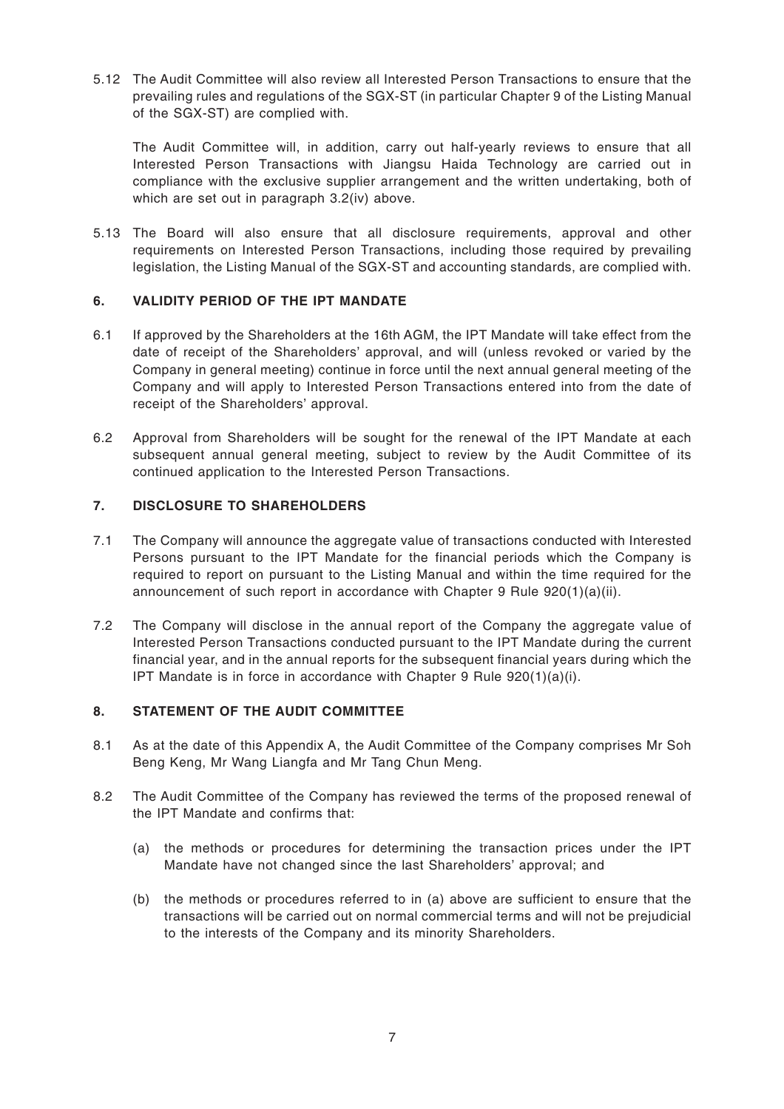5.12 The Audit Committee will also review all Interested Person Transactions to ensure that the prevailing rules and regulations of the SGX-ST (in particular Chapter 9 of the Listing Manual of the SGX-ST) are complied with.

The Audit Committee will, in addition, carry out half-yearly reviews to ensure that all Interested Person Transactions with Jiangsu Haida Technology are carried out in compliance with the exclusive supplier arrangement and the written undertaking, both of which are set out in paragraph 3.2(iv) above.

5.13 The Board will also ensure that all disclosure requirements, approval and other requirements on Interested Person Transactions, including those required by prevailing legislation, the Listing Manual of the SGX-ST and accounting standards, are complied with.

## **6. VALIDITY PERIOD OF THE IPT MANDATE**

- 6.1 If approved by the Shareholders at the 16th AGM, the IPT Mandate will take effect from the date of receipt of the Shareholders' approval, and will (unless revoked or varied by the Company in general meeting) continue in force until the next annual general meeting of the Company and will apply to Interested Person Transactions entered into from the date of receipt of the Shareholders' approval.
- 6.2 Approval from Shareholders will be sought for the renewal of the IPT Mandate at each subsequent annual general meeting, subject to review by the Audit Committee of its continued application to the Interested Person Transactions.

## **7. DISCLOSURE TO SHAREHOLDERS**

- 7.1 The Company will announce the aggregate value of transactions conducted with Interested Persons pursuant to the IPT Mandate for the financial periods which the Company is required to report on pursuant to the Listing Manual and within the time required for the announcement of such report in accordance with Chapter 9 Rule  $920(1)(a)(ii)$ .
- 7.2 The Company will disclose in the annual report of the Company the aggregate value of Interested Person Transactions conducted pursuant to the IPT Mandate during the current financial year, and in the annual reports for the subsequent financial years during which the IPT Mandate is in force in accordance with Chapter 9 Rule 920(1)(a)(i).

## **8. STATEMENT OF THE AUDIT COMMITTEE**

- 8.1 As at the date of this Appendix A, the Audit Committee of the Company comprises Mr Soh Beng Keng, Mr Wang Liangfa and Mr Tang Chun Meng.
- 8.2 The Audit Committee of the Company has reviewed the terms of the proposed renewal of the IPT Mandate and confirms that:
	- (a) the methods or procedures for determining the transaction prices under the IPT Mandate have not changed since the last Shareholders' approval; and
	- (b) the methods or procedures referred to in (a) above are sufficient to ensure that the transactions will be carried out on normal commercial terms and will not be prejudicial to the interests of the Company and its minority Shareholders.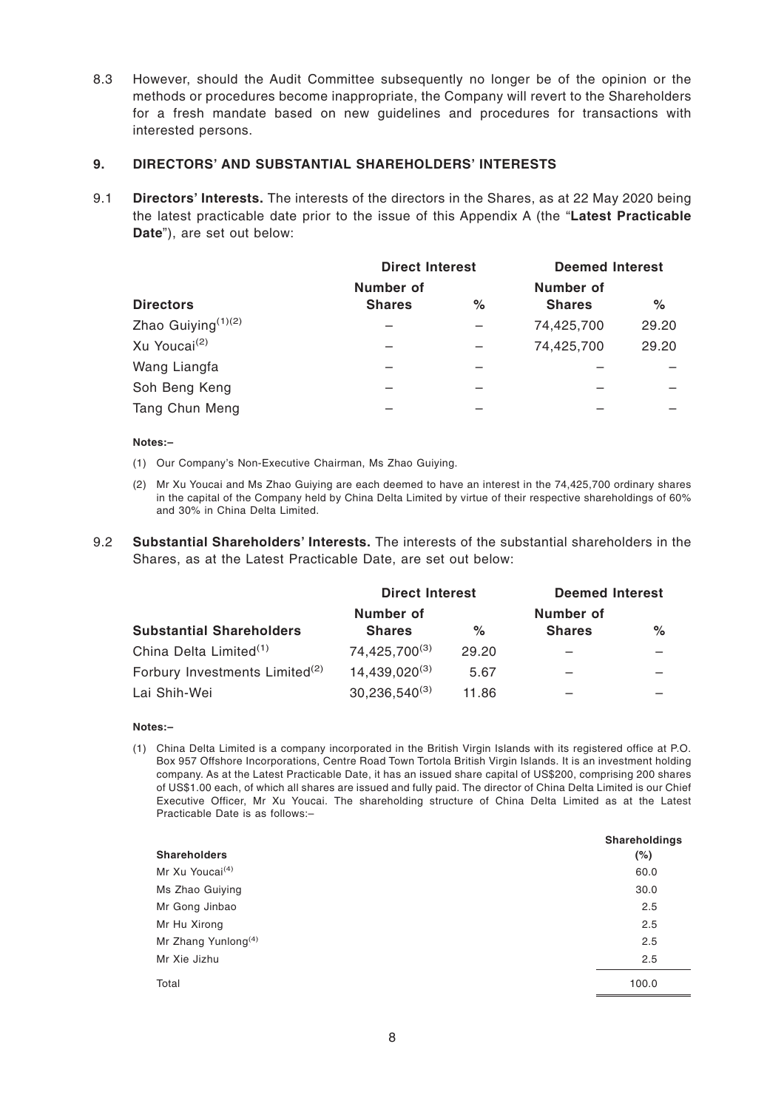8.3 However, should the Audit Committee subsequently no longer be of the opinion or the methods or procedures become inappropriate, the Company will revert to the Shareholders for a fresh mandate based on new guidelines and procedures for transactions with interested persons.

#### **9. DIRECTORS' AND SUBSTANTIAL SHAREHOLDERS' INTERESTS**

9.1 **Directors' Interests.** The interests of the directors in the Shares, as at 22 May 2020 being the latest practicable date prior to the issue of this Appendix A (the "**Latest Practicable Date**"), are set out below:

|                          | <b>Direct Interest</b>     |      | <b>Deemed Interest</b>     |       |
|--------------------------|----------------------------|------|----------------------------|-------|
| <b>Directors</b>         | Number of<br><b>Shares</b> | $\%$ | Number of<br><b>Shares</b> | $\%$  |
| Zhao Guiying $(1)(2)$    |                            |      | 74,425,700                 | 29.20 |
| Xu Youcai <sup>(2)</sup> |                            |      | 74,425,700                 | 29.20 |
| Wang Liangfa             |                            |      |                            |       |
| Soh Beng Keng            |                            |      |                            |       |
| Tang Chun Meng           |                            |      |                            |       |

#### **Notes:–**

- (1) Our Company's Non-Executive Chairman, Ms Zhao Guiying.
- (2) Mr Xu Youcai and Ms Zhao Guiying are each deemed to have an interest in the 74,425,700 ordinary shares in the capital of the Company held by China Delta Limited by virtue of their respective shareholdings of 60% and 30% in China Delta Limited.
- 9.2 **Substantial Shareholders' Interests.** The interests of the substantial shareholders in the Shares, as at the Latest Practicable Date, are set out below:

|                                            | <b>Direct Interest</b>    |       | <b>Deemed Interest</b> |   |
|--------------------------------------------|---------------------------|-------|------------------------|---|
|                                            | Number of                 |       | Number of              |   |
| <b>Substantial Shareholders</b>            | <b>Shares</b>             | $\%$  | <b>Shares</b>          | % |
| China Delta Limited <sup>(1)</sup>         | 74,425,700 <sup>(3)</sup> | 29.20 |                        |   |
| Forbury Investments Limited <sup>(2)</sup> | $14,439,020^{(3)}$        | 5.67  |                        |   |
| Lai Shih-Wei                               | $30,236,540^{(3)}$        | 11.86 |                        |   |

#### **Notes:–**

(1) China Delta Limited is a company incorporated in the British Virgin Islands with its registered office at P.O. Box 957 Offshore Incorporations, Centre Road Town Tortola British Virgin Islands. It is an investment holding company. As at the Latest Practicable Date, it has an issued share capital of US\$200, comprising 200 shares of US\$1.00 each, of which all shares are issued and fully paid. The director of China Delta Limited is our Chief Executive Officer, Mr Xu Youcai. The shareholding structure of China Delta Limited as at the Latest Practicable Date is as follows:–

|                                 | Shareholdings |
|---------------------------------|---------------|
| <b>Shareholders</b>             | $(\%)$        |
| Mr Xu Youcai <sup>(4)</sup>     | 60.0          |
| Ms Zhao Guiying                 | 30.0          |
| Mr Gong Jinbao                  | 2.5           |
| Mr Hu Xirong                    | 2.5           |
| Mr Zhang Yunlong <sup>(4)</sup> | 2.5           |
| Mr Xie Jizhu                    | 2.5           |
| Total                           | 100.0         |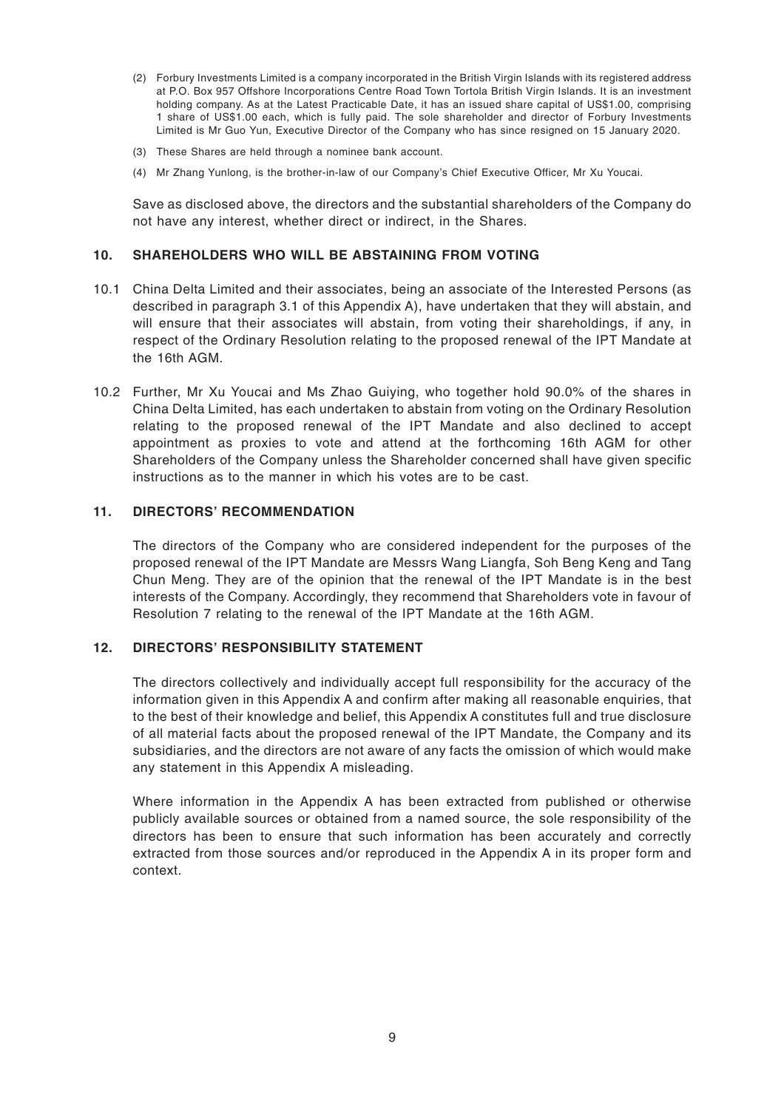- (2) Forbury Investments Limited is a company incorporated in the British Virgin Islands with its registered address at P.O. Box 957 Offshore Incorporations Centre Road Town Tortola British Virgin Islands. It is an investment holding company. As at the Latest Practicable Date, it has an issued share capital of US\$1.00, comprising 1 share of US\$1.00 each, which is fully paid. The sole shareholder and director of Forbury Investments Limited is Mr Guo Yun, Executive Director of the Company who has since resigned on 15 January 2020.
- (3) These Shares are held through a nominee bank account.
- (4) Mr Zhang Yunlong, is the brother-in-law of our Company's Chief Executive Officer, Mr Xu Youcai.

Save as disclosed above, the directors and the substantial shareholders of the Company do not have any interest, whether direct or indirect, in the Shares.

#### **10. SHAREHOLDERS WHO WILL BE ABSTAINING FROM VOTING**

- 10.1 China Delta Limited and their associates, being an associate of the Interested Persons (as described in paragraph 3.1 of this Appendix A), have undertaken that they will abstain, and will ensure that their associates will abstain, from voting their shareholdings, if any, in respect of the Ordinary Resolution relating to the proposed renewal of the IPT Mandate at the 16th AGM.
- 10.2 Further, Mr Xu Youcai and Ms Zhao Guiying, who together hold 90.0% of the shares in China Delta Limited, has each undertaken to abstain from voting on the Ordinary Resolution relating to the proposed renewal of the IPT Mandate and also declined to accept appointment as proxies to vote and attend at the forthcoming 16th AGM for other Shareholders of the Company unless the Shareholder concerned shall have given specific instructions as to the manner in which his votes are to be cast.

## **11. DIRECTORS' RECOMMENDATION**

The directors of the Company who are considered independent for the purposes of the proposed renewal of the IPT Mandate are Messrs Wang Liangfa, Soh Beng Keng and Tang Chun Meng. They are of the opinion that the renewal of the IPT Mandate is in the best interests of the Company. Accordingly, they recommend that Shareholders vote in favour of Resolution 7 relating to the renewal of the IPT Mandate at the 16th AGM.

## **12. DIRECTORS' RESPONSIBILITY STATEMENT**

The directors collectively and individually accept full responsibility for the accuracy of the information given in this Appendix A and confirm after making all reasonable enquiries, that to the best of their knowledge and belief, this Appendix A constitutes full and true disclosure of all material facts about the proposed renewal of the IPT Mandate, the Company and its subsidiaries, and the directors are not aware of any facts the omission of which would make any statement in this Appendix A misleading.

Where information in the Appendix A has been extracted from published or otherwise publicly available sources or obtained from a named source, the sole responsibility of the directors has been to ensure that such information has been accurately and correctly extracted from those sources and/or reproduced in the Appendix A in its proper form and context.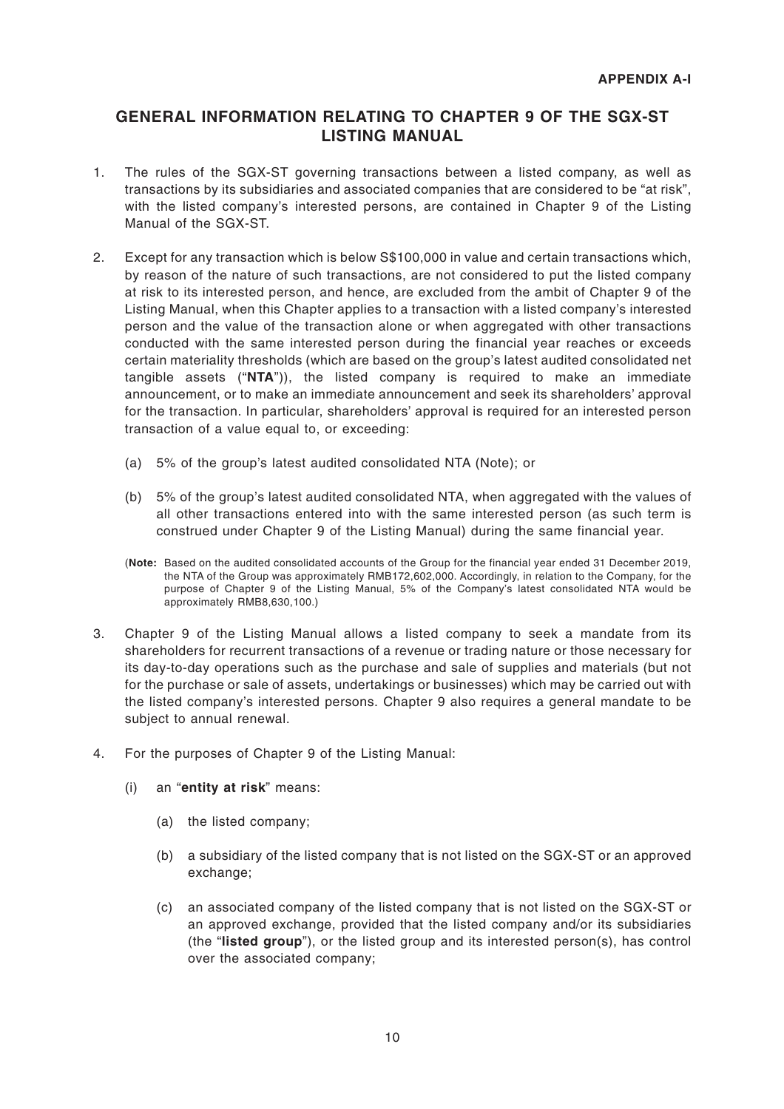# **GENERAL INFORMATION RELATING TO CHAPTER 9 OF THE SGX-ST LISTING MANUAL**

- 1. The rules of the SGX-ST governing transactions between a listed company, as well as transactions by its subsidiaries and associated companies that are considered to be "at risk", with the listed company's interested persons, are contained in Chapter 9 of the Listing Manual of the SGX-ST.
- 2. Except for any transaction which is below S\$100,000 in value and certain transactions which, by reason of the nature of such transactions, are not considered to put the listed company at risk to its interested person, and hence, are excluded from the ambit of Chapter 9 of the Listing Manual, when this Chapter applies to a transaction with a listed company's interested person and the value of the transaction alone or when aggregated with other transactions conducted with the same interested person during the financial year reaches or exceeds certain materiality thresholds (which are based on the group's latest audited consolidated net tangible assets ("**NTA**")), the listed company is required to make an immediate announcement, or to make an immediate announcement and seek its shareholders' approval for the transaction. In particular, shareholders' approval is required for an interested person transaction of a value equal to, or exceeding:
	- (a) 5% of the group's latest audited consolidated NTA (Note); or
	- (b) 5% of the group's latest audited consolidated NTA, when aggregated with the values of all other transactions entered into with the same interested person (as such term is construed under Chapter 9 of the Listing Manual) during the same financial year.
	- (**Note:** Based on the audited consolidated accounts of the Group for the financial year ended 31 December 2019, the NTA of the Group was approximately RMB172,602,000. Accordingly, in relation to the Company, for the purpose of Chapter 9 of the Listing Manual, 5% of the Company's latest consolidated NTA would be approximately RMB8,630,100.)
- 3. Chapter 9 of the Listing Manual allows a listed company to seek a mandate from its shareholders for recurrent transactions of a revenue or trading nature or those necessary for its day-to-day operations such as the purchase and sale of supplies and materials (but not for the purchase or sale of assets, undertakings or businesses) which may be carried out with the listed company's interested persons. Chapter 9 also requires a general mandate to be subject to annual renewal.
- 4. For the purposes of Chapter 9 of the Listing Manual:
	- (i) an "**entity at risk**" means:
		- (a) the listed company;
		- (b) a subsidiary of the listed company that is not listed on the SGX-ST or an approved exchange:
		- (c) an associated company of the listed company that is not listed on the SGX-ST or an approved exchange, provided that the listed company and/or its subsidiaries (the "**listed group**"), or the listed group and its interested person(s), has control over the associated company;